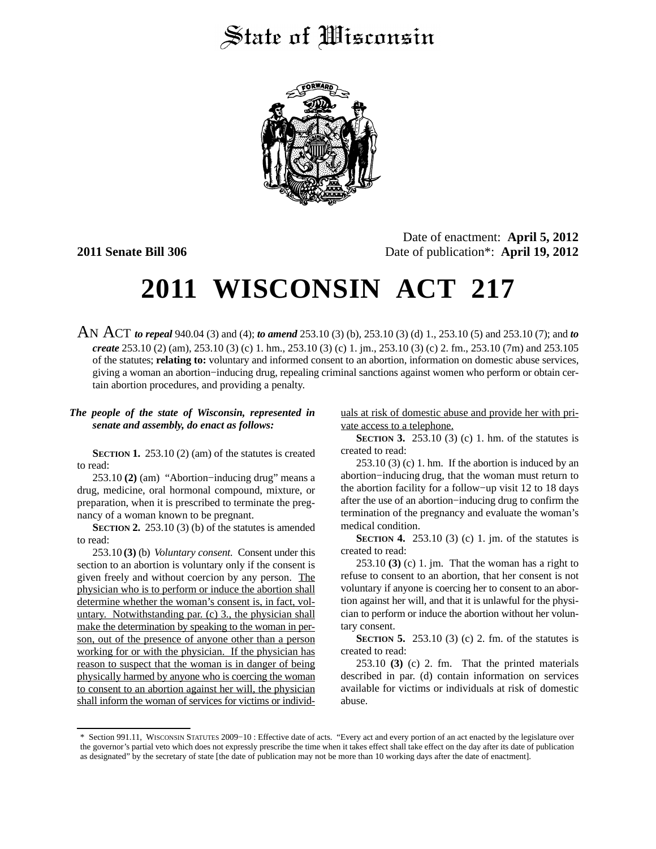## State of Wisconsin



Date of enactment: **April 5, 2012 2011 Senate Bill 306** Date of publication\*: **April 19, 2012**

## **2011 WISCONSIN ACT 217**

AN ACT *to repeal* 940.04 (3) and (4); *to amend* 253.10 (3) (b), 253.10 (3) (d) 1., 253.10 (5) and 253.10 (7); and *to create* 253.10 (2) (am), 253.10 (3) (c) 1. hm., 253.10 (3) (c) 1. jm., 253.10 (3) (c) 2. fm., 253.10 (7m) and 253.105 of the statutes; **relating to:** voluntary and informed consent to an abortion, information on domestic abuse services, giving a woman an abortion−inducing drug, repealing criminal sanctions against women who perform or obtain certain abortion procedures, and providing a penalty.

## *The people of the state of Wisconsin, represented in senate and assembly, do enact as follows:*

**SECTION 1.** 253.10 (2) (am) of the statutes is created to read:

253.10 **(2)** (am) "Abortion−inducing drug" means a drug, medicine, oral hormonal compound, mixture, or preparation, when it is prescribed to terminate the pregnancy of a woman known to be pregnant.

**SECTION 2.** 253.10 (3) (b) of the statutes is amended to read:

253.10 **(3)** (b) *Voluntary consent.* Consent under this section to an abortion is voluntary only if the consent is given freely and without coercion by any person. The physician who is to perform or induce the abortion shall determine whether the woman's consent is, in fact, voluntary. Notwithstanding par. (c) 3., the physician shall make the determination by speaking to the woman in person, out of the presence of anyone other than a person working for or with the physician. If the physician has reason to suspect that the woman is in danger of being physically harmed by anyone who is coercing the woman to consent to an abortion against her will, the physician shall inform the woman of services for victims or individuals at risk of domestic abuse and provide her with private access to a telephone.

**SECTION 3.** 253.10 (3) (c) 1. hm. of the statutes is created to read:

 $253.10(3)$  (c) 1. hm. If the abortion is induced by an abortion−inducing drug, that the woman must return to the abortion facility for a follow−up visit 12 to 18 days after the use of an abortion−inducing drug to confirm the termination of the pregnancy and evaluate the woman's medical condition.

**SECTION 4.** 253.10 (3) (c) 1. jm. of the statutes is created to read:

253.10 **(3)** (c) 1. jm. That the woman has a right to refuse to consent to an abortion, that her consent is not voluntary if anyone is coercing her to consent to an abortion against her will, and that it is unlawful for the physician to perform or induce the abortion without her voluntary consent.

**SECTION 5.** 253.10 (3) (c) 2. fm. of the statutes is created to read:

253.10 **(3)** (c) 2. fm. That the printed materials described in par. (d) contain information on services available for victims or individuals at risk of domestic abuse.

<sup>\*</sup> Section 991.11, WISCONSIN STATUTES 2009−10 : Effective date of acts. "Every act and every portion of an act enacted by the legislature over the governor's partial veto which does not expressly prescribe the time when it takes effect shall take effect on the day after its date of publication as designated" by the secretary of state [the date of publication may not be more than 10 working days after the date of enactment].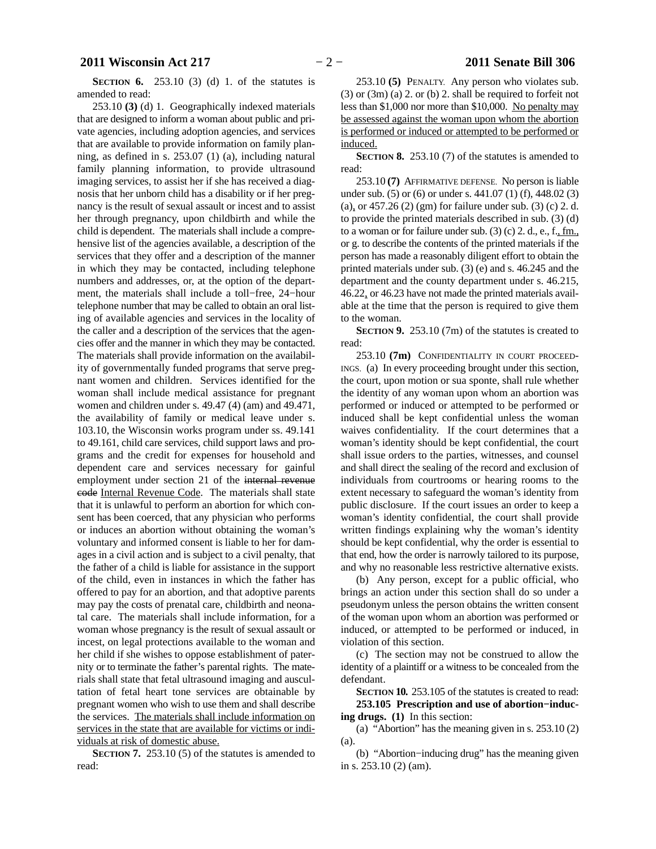**SECTION 6.** 253.10 (3) (d) 1. of the statutes is amended to read:

253.10 **(3)** (d) 1. Geographically indexed materials that are designed to inform a woman about public and private agencies, including adoption agencies, and services that are available to provide information on family planning, as defined in s. 253.07 (1) (a), including natural family planning information, to provide ultrasound imaging services, to assist her if she has received a diagnosis that her unborn child has a disability or if her pregnancy is the result of sexual assault or incest and to assist her through pregnancy, upon childbirth and while the child is dependent. The materials shall include a comprehensive list of the agencies available, a description of the services that they offer and a description of the manner in which they may be contacted, including telephone numbers and addresses, or, at the option of the department, the materials shall include a toll−free, 24−hour telephone number that may be called to obtain an oral listing of available agencies and services in the locality of the caller and a description of the services that the agencies offer and the manner in which they may be contacted. The materials shall provide information on the availability of governmentally funded programs that serve pregnant women and children. Services identified for the woman shall include medical assistance for pregnant women and children under s. 49.47 (4) (am) and 49.471, the availability of family or medical leave under s. 103.10, the Wisconsin works program under ss. 49.141 to 49.161, child care services, child support laws and programs and the credit for expenses for household and dependent care and services necessary for gainful employment under section 21 of the internal revenue code Internal Revenue Code. The materials shall state that it is unlawful to perform an abortion for which consent has been coerced, that any physician who performs or induces an abortion without obtaining the woman's voluntary and informed consent is liable to her for damages in a civil action and is subject to a civil penalty, that the father of a child is liable for assistance in the support of the child, even in instances in which the father has offered to pay for an abortion, and that adoptive parents may pay the costs of prenatal care, childbirth and neonatal care. The materials shall include information, for a woman whose pregnancy is the result of sexual assault or incest, on legal protections available to the woman and her child if she wishes to oppose establishment of paternity or to terminate the father's parental rights. The materials shall state that fetal ultrasound imaging and auscultation of fetal heart tone services are obtainable by pregnant women who wish to use them and shall describe the services. The materials shall include information on services in the state that are available for victims or individuals at risk of domestic abuse.

**SECTION 7.** 253.10 (5) of the statutes is amended to read:

253.10 **(5)** PENALTY. Any person who violates sub. (3) or (3m) (a) 2. or (b) 2. shall be required to forfeit not less than \$1,000 nor more than \$10,000. No penalty may be assessed against the woman upon whom the abortion is performed or induced or attempted to be performed or induced.

**SECTION 8.** 253.10 (7) of the statutes is amended to read:

253.10 **(7)** AFFIRMATIVE DEFENSE. No person is liable under sub. (5) or (6) or under s. 441.07 (1) (f), 448.02 (3) (a), or  $457.26$  (2) (gm) for failure under sub. (3) (c) 2. d. to provide the printed materials described in sub. (3) (d) to a woman or for failure under sub.  $(3)$  (c) 2. d., e., f., fm., or g. to describe the contents of the printed materials if the person has made a reasonably diligent effort to obtain the printed materials under sub. (3) (e) and s. 46.245 and the department and the county department under s. 46.215, 46.22, or 46.23 have not made the printed materials available at the time that the person is required to give them to the woman.

**SECTION 9.** 253.10 (7m) of the statutes is created to read:

253.10 **(7m)** CONFIDENTIALITY IN COURT PROCEED-INGS. (a) In every proceeding brought under this section, the court, upon motion or sua sponte, shall rule whether the identity of any woman upon whom an abortion was performed or induced or attempted to be performed or induced shall be kept confidential unless the woman waives confidentiality. If the court determines that a woman's identity should be kept confidential, the court shall issue orders to the parties, witnesses, and counsel and shall direct the sealing of the record and exclusion of individuals from courtrooms or hearing rooms to the extent necessary to safeguard the woman's identity from public disclosure. If the court issues an order to keep a woman's identity confidential, the court shall provide written findings explaining why the woman's identity should be kept confidential, why the order is essential to that end, how the order is narrowly tailored to its purpose, and why no reasonable less restrictive alternative exists.

(b) Any person, except for a public official, who brings an action under this section shall do so under a pseudonym unless the person obtains the written consent of the woman upon whom an abortion was performed or induced, or attempted to be performed or induced, in violation of this section.

(c) The section may not be construed to allow the identity of a plaintiff or a witness to be concealed from the defendant.

**SECTION 10.** 253.105 of the statutes is created to read: **253.105 Prescription and use of abortion−inducing drugs. (1)** In this section:

(a) "Abortion" has the meaning given in s. 253.10 (2) (a).

(b) "Abortion−inducing drug" has the meaning given in s. 253.10 (2) (am).